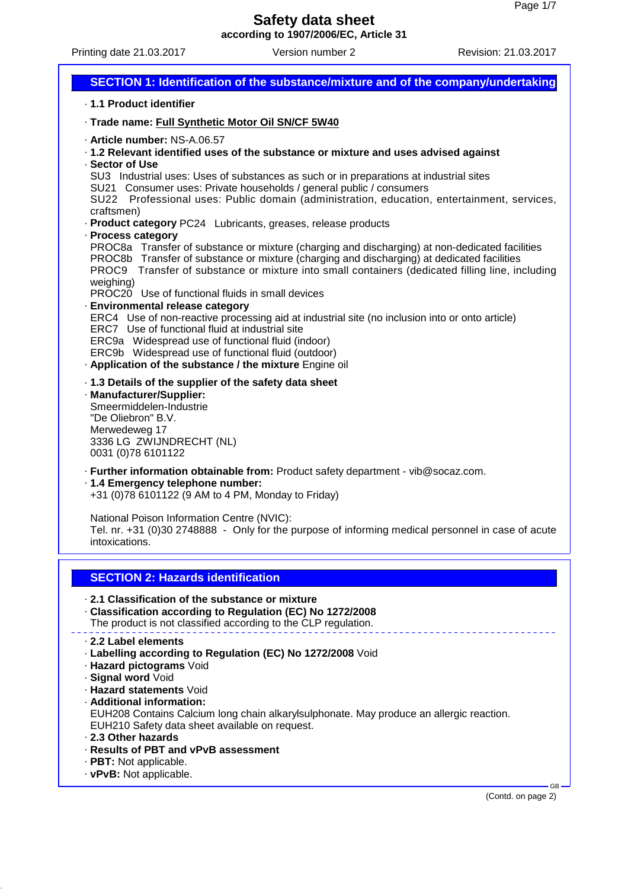Printing date 21.03.2017 Version number 2 Revision: 21.03.2017



(Contd. on page 2)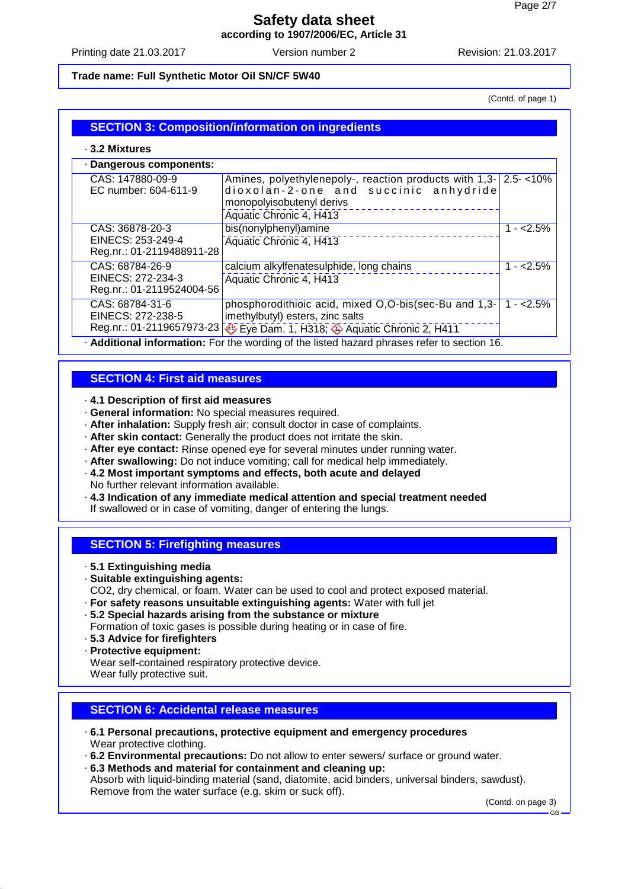Printing date 21.03.2017 Version number 2 Revision: 21.03.2017

#### **Trade name: Full Synthetic Motor Oil SN/CF 5W40**

(Contd. of page 1)

## **SECTION 3: Composition/information on ingredients**

#### · **3.2 Mixtures**

| · Dangerous components:                                           |                                                                                                                                                                                |             |
|-------------------------------------------------------------------|--------------------------------------------------------------------------------------------------------------------------------------------------------------------------------|-------------|
| CAS: 147880-09-9<br>EC number: 604-611-9                          | Amines, polyethylenepoly-, reaction products with 1,3- 2.5-<10%<br>dioxolan-2-one and succinic anhydride                                                                       |             |
|                                                                   | monopolyisobutenyl derivs<br>Aquatic Chronic 4, H413                                                                                                                           |             |
| CAS: 36878-20-3                                                   | bis(nonylphenyl)amine                                                                                                                                                          | $1 - 2.5%$  |
| EINECS: 253-249-4<br>Reg.nr.: 01-2119488911-28                    | Aquatic Chronic 4, H413                                                                                                                                                        |             |
| CAS: 68784-26-9<br>EINECS: 272-234-3<br>Reg.nr.: 01-2119524004-56 | calcium alkylfenatesulphide, long chains<br>Aquatic Chronic 4, H413                                                                                                            | $1 - 2.5%$  |
| CAS: 68784-31-6<br>EINECS: 272-238-5                              | phosphorodithioic acid, mixed O,O-bis(sec-Bu and 1,3-<br>imethylbutyl) esters, zinc salts                                                                                      | $1 - 2.5\%$ |
| And all the second charge account to second                       | Reg.nr.: 01-2119657973-23 <>> Eye Dam. 1, H318; <>> Aquatic Chronic 2, H411<br>$\Box$ and the compact them with the contracted between the second and contracted and $\Lambda$ |             |

· **Additional information:** For the wording of the listed hazard phrases refer to section 16.

#### **SECTION 4: First aid measures**

#### · **4.1 Description of first aid measures**

- · **General information:** No special measures required.
- · **After inhalation:** Supply fresh air; consult doctor in case of complaints.
- · **After skin contact:** Generally the product does not irritate the skin.
- · **After eye contact:** Rinse opened eye for several minutes under running water.
- · **After swallowing:** Do not induce vomiting; call for medical help immediately.
- · **4.2 Most important symptoms and effects, both acute and delayed**
- No further relevant information available.
- · **4.3 Indication of any immediate medical attention and special treatment needed**
- If swallowed or in case of vomiting, danger of entering the lungs.

#### **SECTION 5: Firefighting measures**

- · **5.1 Extinguishing media**
- · **Suitable extinguishing agents:**
- CO2, dry chemical, or foam. Water can be used to cool and protect exposed material.
- · **For safety reasons unsuitable extinguishing agents:** Water with full jet
- · **5.2 Special hazards arising from the substance or mixture** Formation of toxic gases is possible during heating or in case of fire.
- · **5.3 Advice for firefighters**
- · **Protective equipment:**

Wear self-contained respiratory protective device.

Wear fully protective suit.

## **SECTION 6: Accidental release measures**

- · **6.1 Personal precautions, protective equipment and emergency procedures** Wear protective clothing.
- · **6.2 Environmental precautions:** Do not allow to enter sewers/ surface or ground water.
- · **6.3 Methods and material for containment and cleaning up:**

Absorb with liquid-binding material (sand, diatomite, acid binders, universal binders, sawdust). Remove from the water surface (e.g. skim or suck off).

(Contd. on page 3)

GB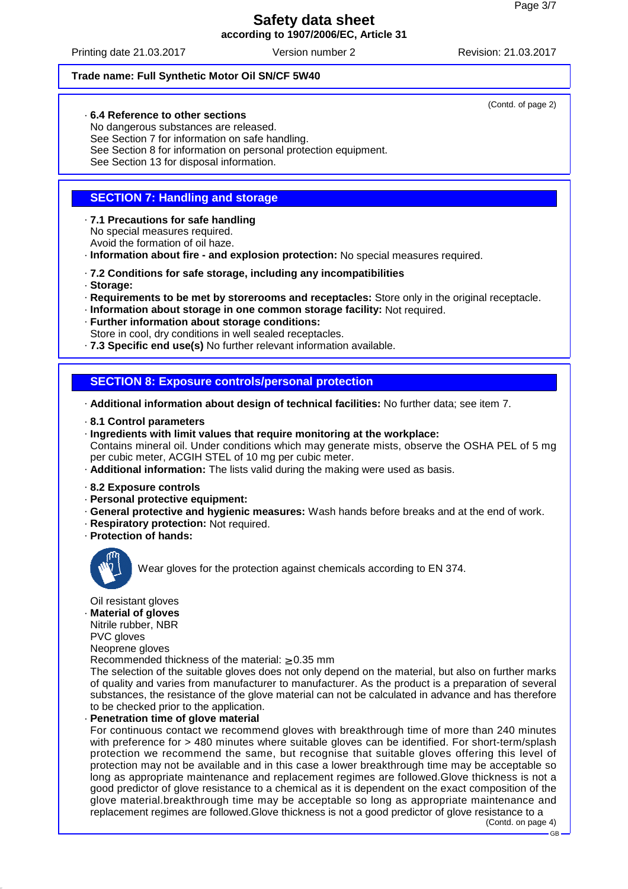Printing date 21.03.2017 Version number 2 Revision: 21.03.2017

#### **Trade name: Full Synthetic Motor Oil SN/CF 5W40**

## · **6.4 Reference to other sections**

No dangerous substances are released. See Section 7 for information on safe handling. See Section 8 for information on personal protection equipment. See Section 13 for disposal information.

## **SECTION 7: Handling and storage**

- · **7.1 Precautions for safe handling** No special measures required. Avoid the formation of oil haze.
- · **Information about fire and explosion protection:** No special measures required.
- · **7.2 Conditions for safe storage, including any incompatibilities**
- · **Storage:**
- · **Requirements to be met by storerooms and receptacles:** Store only in the original receptacle.
- · **Information about storage in one common storage facility:** Not required.
- · **Further information about storage conditions:**
- Store in cool, dry conditions in well sealed receptacles.
- · **7.3 Specific end use(s)** No further relevant information available.

## **SECTION 8: Exposure controls/personal protection**

· **Additional information about design of technical facilities:** No further data; see item 7.

- · **8.1 Control parameters**
- · **Ingredients with limit values that require monitoring at the workplace:** Contains mineral oil. Under conditions which may generate mists, observe the OSHA PEL of 5 mg per cubic meter, ACGIH STEL of 10 mg per cubic meter.
- · **Additional information:** The lists valid during the making were used as basis.
- · **8.2 Exposure controls**
- · **Personal protective equipment:**
- · **General protective and hygienic measures:** Wash hands before breaks and at the end of work.
- · **Respiratory protection:** Not required.
- · **Protection of hands:**



Wear gloves for the protection against chemicals according to EN 374.

Oil resistant gloves

· **Material of gloves**

Nitrile rubber, NBR

PVC gloves

Neoprene gloves

Recommended thickness of the material:  $\geq 0.35$  mm

The selection of the suitable gloves does not only depend on the material, but also on further marks of quality and varies from manufacturer to manufacturer. As the product is a preparation of several substances, the resistance of the glove material can not be calculated in advance and has therefore to be checked prior to the application.

· **Penetration time of glove material**

For continuous contact we recommend gloves with breakthrough time of more than 240 minutes with preference for > 480 minutes where suitable gloves can be identified. For short-term/splash protection we recommend the same, but recognise that suitable gloves offering this level of protection may not be available and in this case a lower breakthrough time may be acceptable so long as appropriate maintenance and replacement regimes are followed.Glove thickness is not a good predictor of glove resistance to a chemical as it is dependent on the exact composition of the glove material.breakthrough time may be acceptable so long as appropriate maintenance and replacement regimes are followed.Glove thickness is not a good predictor of glove resistance to a

(Contd. of page 2)

<sup>(</sup>Contd. on page 4)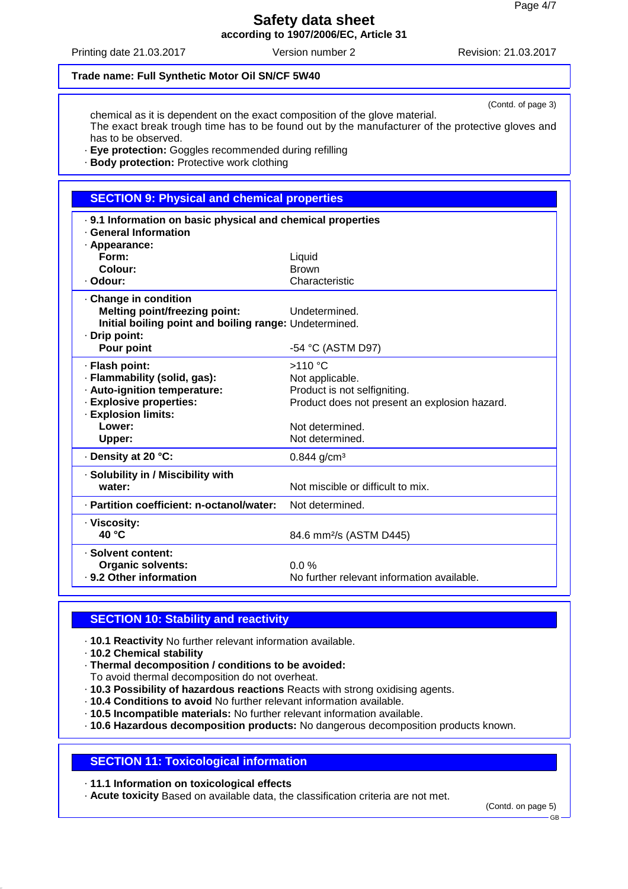Printing date 21.03.2017 Version number 2 Revision: 21.03.2017

#### **Trade name: Full Synthetic Motor Oil SN/CF 5W40**

(Contd. of page 3)

chemical as it is dependent on the exact composition of the glove material. The exact break trough time has to be found out by the manufacturer of the protective gloves and has to be observed.

· **Eye protection:** Goggles recommended during refilling

· **Body protection:** Protective work clothing

## **SECTION 9: Physical and chemical properties**

| . 9.1 Information on basic physical and chemical properties<br><b>General Information</b> |                                               |
|-------------------------------------------------------------------------------------------|-----------------------------------------------|
|                                                                                           |                                               |
| · Appearance:<br>Form:                                                                    |                                               |
|                                                                                           | Liquid                                        |
| Colour:                                                                                   | <b>Brown</b>                                  |
| · Odour:                                                                                  | Characteristic                                |
| Change in condition                                                                       |                                               |
| <b>Melting point/freezing point:</b>                                                      | Undetermined.                                 |
| Initial boiling point and boiling range: Undetermined.                                    |                                               |
| · Drip point:                                                                             |                                               |
| Pour point                                                                                | -54 °C (ASTM D97)                             |
| · Flash point:                                                                            | $>110$ °C                                     |
| · Flammability (solid, gas):                                                              | Not applicable.                               |
| · Auto-ignition temperature:                                                              | Product is not selfigniting.                  |
| · Explosive properties:                                                                   | Product does not present an explosion hazard. |
| · Explosion limits:                                                                       |                                               |
| Lower:                                                                                    | Not determined.                               |
| Upper:                                                                                    | Not determined.                               |
| · Density at 20 °C:                                                                       | $0.844$ g/cm <sup>3</sup>                     |
| · Solubility in / Miscibility with                                                        |                                               |
| water:                                                                                    | Not miscible or difficult to mix.             |
| · Partition coefficient: n-octanol/water:                                                 | Not determined.                               |
| · Viscosity:                                                                              |                                               |
| 40 °C                                                                                     | 84.6 mm <sup>2</sup> /s (ASTM D445)           |
| · Solvent content:                                                                        |                                               |
| <b>Organic solvents:</b>                                                                  | $0.0\%$                                       |
| . 9.2 Other information                                                                   | No further relevant information available.    |
|                                                                                           |                                               |

## **SECTION 10: Stability and reactivity**

- · **10.1 Reactivity** No further relevant information available.
- · **10.2 Chemical stability**
- · **Thermal decomposition / conditions to be avoided:**
- To avoid thermal decomposition do not overheat.
- · **10.3 Possibility of hazardous reactions** Reacts with strong oxidising agents.
- · **10.4 Conditions to avoid** No further relevant information available.
- · **10.5 Incompatible materials:** No further relevant information available.
- · **10.6 Hazardous decomposition products:** No dangerous decomposition products known.

## **SECTION 11: Toxicological information**

· **11.1 Information on toxicological effects**

· **Acute toxicity** Based on available data, the classification criteria are not met.

(Contd. on page 5)

GB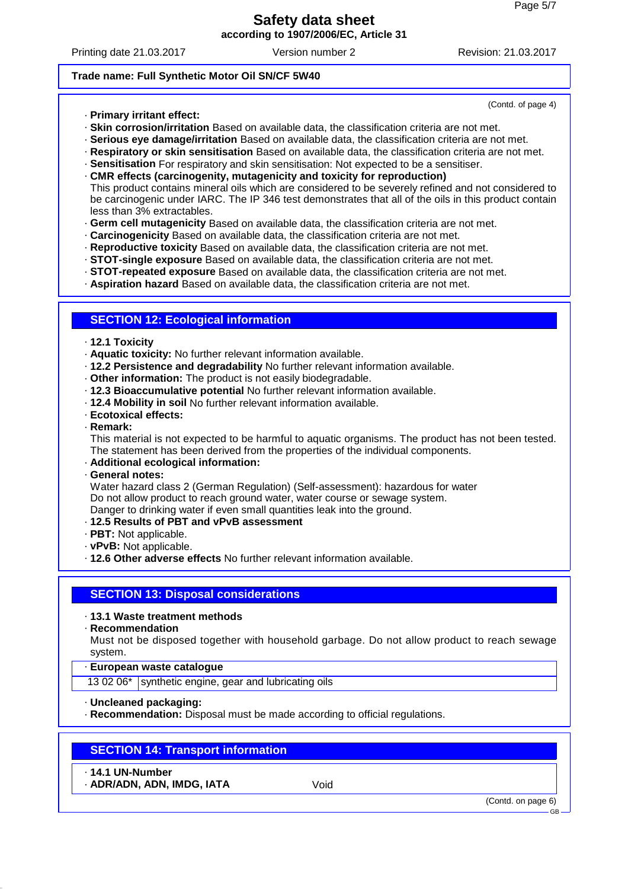Printing date 21.03.2017 Version number 2 Revision: 21.03.2017

(Contd. of page 4)

#### **Trade name: Full Synthetic Motor Oil SN/CF 5W40**

- · **Primary irritant effect:**
- · **Skin corrosion/irritation** Based on available data, the classification criteria are not met.
- · **Serious eye damage/irritation** Based on available data, the classification criteria are not met.
- · **Respiratory or skin sensitisation** Based on available data, the classification criteria are not met.
- · **Sensitisation** For respiratory and skin sensitisation: Not expected to be a sensitiser.
- · **CMR effects (carcinogenity, mutagenicity and toxicity for reproduction)** This product contains mineral oils which are considered to be severely refined and not considered to be carcinogenic under IARC. The IP 346 test demonstrates that all of the oils in this product contain less than 3% extractables.
- · **Germ cell mutagenicity** Based on available data, the classification criteria are not met.
- · **Carcinogenicity** Based on available data, the classification criteria are not met.
- · **Reproductive toxicity** Based on available data, the classification criteria are not met.
- · **STOT-single exposure** Based on available data, the classification criteria are not met.
- · **STOT-repeated exposure** Based on available data, the classification criteria are not met.
- · **Aspiration hazard** Based on available data, the classification criteria are not met.

#### **SECTION 12: Ecological information**

- · **12.1 Toxicity**
- · **Aquatic toxicity:** No further relevant information available.
- · **12.2 Persistence and degradability** No further relevant information available.
- · **Other information:** The product is not easily biodegradable.
- · **12.3 Bioaccumulative potential** No further relevant information available.
- · **12.4 Mobility in soil** No further relevant information available.
- · **Ecotoxical effects:**
- · **Remark:**

This material is not expected to be harmful to aquatic organisms. The product has not been tested. The statement has been derived from the properties of the individual components.

- · **Additional ecological information:**
- · **General notes:**

Water hazard class 2 (German Regulation) (Self-assessment): hazardous for water Do not allow product to reach ground water, water course or sewage system. Danger to drinking water if even small quantities leak into the ground.

- 
- · **12.5 Results of PBT and vPvB assessment**
- · **PBT:** Not applicable.
- · **vPvB:** Not applicable.
- · **12.6 Other adverse effects** No further relevant information available.

#### **SECTION 13: Disposal considerations**

- · **13.1 Waste treatment methods**
- · **Recommendation**

Must not be disposed together with household garbage. Do not allow product to reach sewage system.

- · **European waste catalogue**
- 13 02 06\* synthetic engine, gear and lubricating oils
- · **Uncleaned packaging:**
- · **Recommendation:** Disposal must be made according to official regulations.

## **SECTION 14: Transport information**

- · **14.1 UN-Number**
- · **ADR/ADN, ADN, IMDG, IATA** Void

(Contd. on page 6)

GB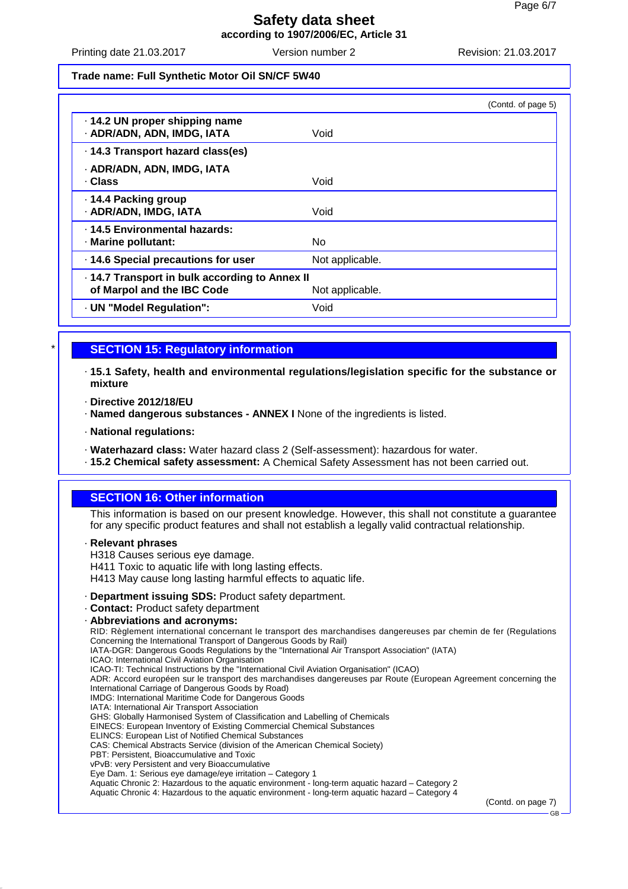Printing date 21.03.2017 Version number 2 Revision: 21.03.2017

#### **Trade name: Full Synthetic Motor Oil SN/CF 5W40**

| · 14.2 UN proper shipping name<br>· ADR/ADN, ADN, IMDG, IATA<br>Void<br>14.3 Transport hazard class(es)<br>· ADR/ADN, ADN, IMDG, IATA<br>. Class<br>Void<br>· 14.4 Packing group<br>· ADR/ADN, IMDG, IATA<br>Void |
|-------------------------------------------------------------------------------------------------------------------------------------------------------------------------------------------------------------------|
|                                                                                                                                                                                                                   |
|                                                                                                                                                                                                                   |
|                                                                                                                                                                                                                   |
|                                                                                                                                                                                                                   |
| . 14.5 Environmental hazards:<br>No.<br>· Marine pollutant:                                                                                                                                                       |
| . 14.6 Special precautions for user<br>Not applicable.                                                                                                                                                            |
| 14.7 Transport in bulk according to Annex II<br>of Marpol and the IBC Code<br>Not applicable.                                                                                                                     |
| · UN "Model Regulation":<br>Void                                                                                                                                                                                  |

## **SECTION 15: Regulatory information**

· **15.1 Safety, health and environmental regulations/legislation specific for the substance or mixture**

- · **Directive 2012/18/EU**
- · **Named dangerous substances ANNEX I** None of the ingredients is listed.
- · **National regulations:**
- · **Waterhazard class:** Water hazard class 2 (Self-assessment): hazardous for water.
- · **15.2 Chemical safety assessment:** A Chemical Safety Assessment has not been carried out.

## **SECTION 16: Other information**

This information is based on our present knowledge. However, this shall not constitute a guarantee for any specific product features and shall not establish a legally valid contractual relationship.

#### · **Relevant phrases**

H318 Causes serious eye damage.

H411 Toxic to aquatic life with long lasting effects.

- H413 May cause long lasting harmful effects to aquatic life.
- · **Department issuing SDS:** Product safety department.
- · **Contact:** Product safety department
- · **Abbreviations and acronyms:**

RID: Règlement international concernant le transport des marchandises dangereuses par chemin de fer (Regulations Concerning the International Transport of Dangerous Goods by Rail)

IATA-DGR: Dangerous Goods Regulations by the "International Air Transport Association" (IATA)

- ICAO: International Civil Aviation Organisation
- ICAO-TI: Technical Instructions by the "International Civil Aviation Organisation" (ICAO)

ADR: Accord européen sur le transport des marchandises dangereuses par Route (European Agreement concerning the

- International Carriage of Dangerous Goods by Road)
- IMDG: International Maritime Code for Dangerous Goods IATA: International Air Transport Association

GHS: Globally Harmonised System of Classification and Labelling of Chemicals

- EINECS: European Inventory of Existing Commercial Chemical Substances
- ELINCS: European List of Notified Chemical Substances
- CAS: Chemical Abstracts Service (division of the American Chemical Society)
- PBT: Persistent, Bioaccumulative and Toxic

vPvB: very Persistent and very Bioaccumulative

Eye Dam. 1: Serious eye damage/eye irritation – Category 1

Aquatic Chronic 2: Hazardous to the aquatic environment - long-term aquatic hazard – Category 2

Aquatic Chronic 4: Hazardous to the aquatic environment - long-term aquatic hazard – Category 4

(Contd. on page 7)

GB